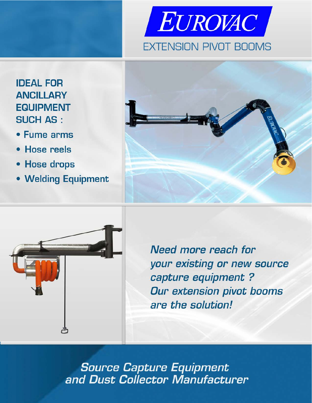

# **IDEAL FOR ANCILLARY EQUIPMENT SUCH AS:**

- Fume arms
- · Hose reels
- Hose drops
- Welding Equipment





Need more reach for your existing or new source capture equipment? **Our extension pivot booms** are the solution!

**Source Capture Equipment<br>and Dust Collector Manufacturer**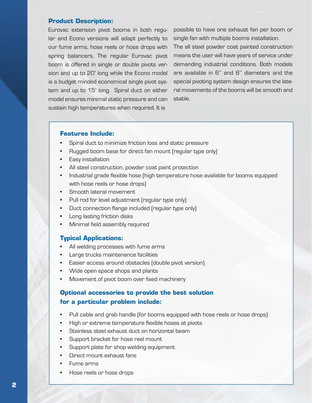#### **Product Description:**

Eurovac extension pivot booms in both regular and Econo versions will adapt perfectly to our fume arms, hose reels or hose drops with spring balancers. The regular Eurovac pivot boom is offered in single or double pivots version and up to 20' long while the Econo model is a budget minded economical single pivot system and up to 15' long. Spiral duct on either model ensures minimal static pressure and can sustain high temperatures when required. It is

possible to have one exhaust fan per boom or single fan with multiple booms installation.

The all steel powder coat painted construction means the user will have years of service under demanding industrial conditions. Both models are available in 6'' and 8'' diameters and the special pivoting system design ensures the lateral movements of the booms will be smooth and stable.

#### **Features Include:**

- Spiral duct to minimize friction loss and static pressure
- Rugged boom base for direct fan mount (regular type only)
- • Easy installation
- • All steel construction, powder coat paint protection
- Industrial grade flexible hose (high temperature hose available for booms equipped with hose reels or hose drops)
- • Smooth lateral movement
- Pull rod for level adjustment (regular type only)
- Duct connection flange included (regular type only)
- Long lasting friction disks
- Minimal field assembly required

#### **Typical Applications:**

- All welding processes with fume arms
- Large trucks maintenance facilities
- Easier access around obstacles (double pivot version)
- Wide open space shops and plants
- Movement of pivot boom over fixed machinery

## **Optional accessories to provide the best solution for a particular problem include:**

- Pull cable and grab handle (for booms equipped with hose reels or hose drops)
- High or extreme temperature flexible hoses at pivots
- Stainless steel exhaust duct on horizontal beam
- Support bracket for hose reel mount
- Support plate for shop welding equipment
- Direct mount exhaust fans
- Fume arms
- Hose reels or hose drops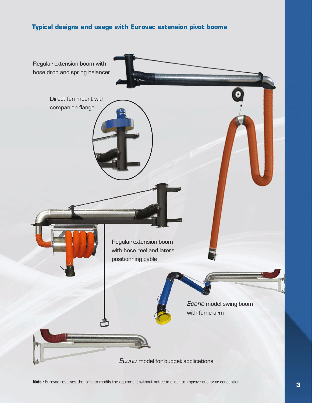## **Typical designs and usage with Eurovac extension pivot booms**